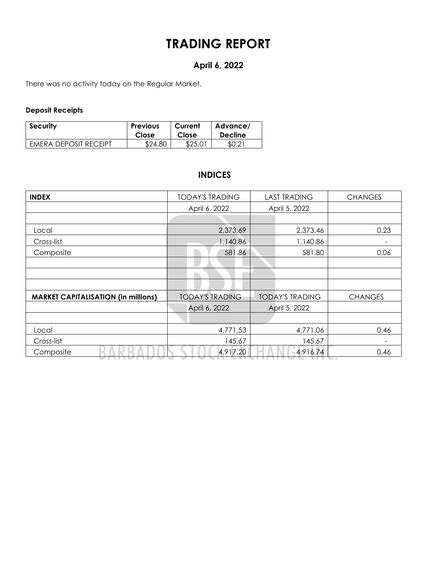# **TRADING REPORT**

# **April 6, 2022**

There was no activity today on the Regular Market.

### **Deposit Receipts**

| <b>Security</b>       | <b>Previous</b> | Current | Advance/       |
|-----------------------|-----------------|---------|----------------|
|                       | Close           | Close   | <b>Decline</b> |
| EMERA DEPOSIT RECEIPT | \$24.80         | \$25.01 | \$0.21         |

# **INDICES**

| <b>INDEX</b>                               | <b>TODAY'S TRADING</b> | <b>LAST TRADING</b>    | <b>CHANGES</b>           |  |  |
|--------------------------------------------|------------------------|------------------------|--------------------------|--|--|
|                                            | April 6, 2022          | April 5, 2022          |                          |  |  |
|                                            |                        |                        |                          |  |  |
| Local                                      | 2,373.69               | 2,373.46               | 0.23                     |  |  |
| Cross-list                                 | 1,140.86               | 1,140.86               | $\overline{\phantom{0}}$ |  |  |
| Composite                                  | 581.86                 | 581.80                 | 0.06                     |  |  |
|                                            |                        |                        |                          |  |  |
|                                            |                        |                        |                          |  |  |
|                                            |                        |                        |                          |  |  |
| <b>MARKET CAPITALISATION (in millions)</b> | <b>TODAY'S TRADING</b> | <b>TODAY'S TRADING</b> | <b>CHANGES</b>           |  |  |
|                                            | April 6, 2022          | April 5, 2022          |                          |  |  |
|                                            |                        |                        |                          |  |  |
| Local                                      | 4,771.53               | 4,771.06               | 0.46                     |  |  |
| Cross-list                                 | 145.67                 | 145.67                 |                          |  |  |
| Composite                                  | 4,917.20               | 4,916.74               | 0.46                     |  |  |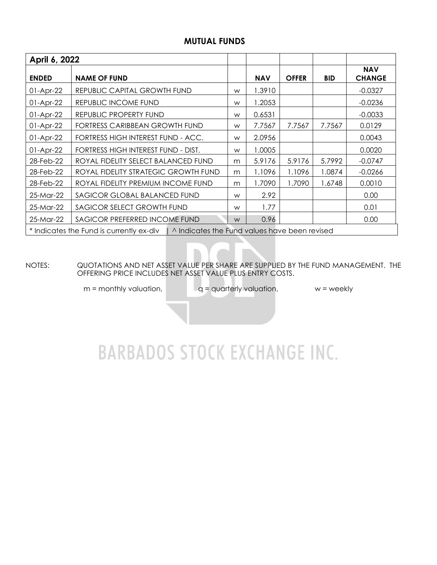### **MUTUAL FUNDS**

| April 6, 2022                                                                            |                                      |   |            |              |            |                             |  |  |  |
|------------------------------------------------------------------------------------------|--------------------------------------|---|------------|--------------|------------|-----------------------------|--|--|--|
| <b>ENDED</b>                                                                             | <b>NAME OF FUND</b>                  |   | <b>NAV</b> | <b>OFFER</b> | <b>BID</b> | <b>NAV</b><br><b>CHANGE</b> |  |  |  |
| $01-Apr-22$                                                                              | REPUBLIC CAPITAL GROWTH FUND         | W | 1.3910     |              |            | $-0.0327$                   |  |  |  |
| $01-Apr-22$                                                                              | REPUBLIC INCOME FUND                 | W | 1.2053     |              |            | $-0.0236$                   |  |  |  |
| $01-Apr-22$                                                                              | REPUBLIC PROPERTY FUND               | W | 0.6531     |              |            | $-0.0033$                   |  |  |  |
| $01-Apr-22$                                                                              | FORTRESS CARIBBEAN GROWTH FUND       | W | 7.7567     | 7.7567       | 7.7567     | 0.0129                      |  |  |  |
| $01-Apr-22$                                                                              | FORTRESS HIGH INTEREST FUND - ACC.   | W | 2.0956     |              |            | 0.0043                      |  |  |  |
| $01-Apr-22$                                                                              | FORTRESS HIGH INTEREST FUND - DIST.  | W | 1.0005     |              |            | 0.0020                      |  |  |  |
| 28-Feb-22                                                                                | ROYAL FIDELITY SELECT BALANCED FUND  | m | 5.9176     | 5.9176       | 5.7992     | $-0.0747$                   |  |  |  |
| 28-Feb-22                                                                                | ROYAL FIDELITY STRATEGIC GROWTH FUND | m | 1.1096     | 1.1096       | 1.0874     | $-0.0266$                   |  |  |  |
| 28-Feb-22                                                                                | ROYAL FIDELITY PREMIUM INCOME FUND   | m | 1.7090     | 1.7090       | 1.6748     | 0.0010                      |  |  |  |
| 25-Mar-22                                                                                | SAGICOR GLOBAL BALANCED FUND         |   | 2.92       |              |            | 0.00                        |  |  |  |
| 25-Mar-22                                                                                | SAGICOR SELECT GROWTH FUND           |   | 1.77       |              |            | 0.01                        |  |  |  |
| 25-Mar-22                                                                                | SAGICOR PREFERRED INCOME FUND        |   | 0.96       |              |            | 0.00                        |  |  |  |
| * Indicates the Fund is currently ex-div   ^ Indicates the Fund values have been revised |                                      |   |            |              |            |                             |  |  |  |

NOTES: QUOTATIONS AND NET ASSET VALUE PER SHARE ARE SUPPLIED BY THE FUND MANAGEMENT. THE OFFERING PRICE INCLUDES NET ASSET VALUE PLUS ENTRY COSTS.

 $m =$  monthly valuation,  $q =$  quarterly valuation,  $w =$  weekly

# **BARBADOS STOCK EXCHANGE INC.**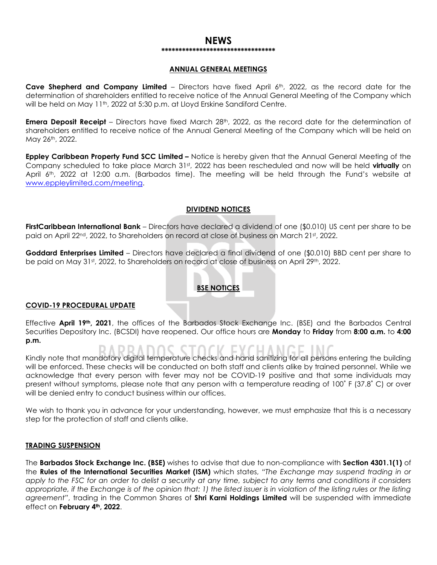#### **NEWS \*\*\*\*\*\*\*\*\*\*\*\*\*\*\*\*\*\*\*\*\*\*\*\*\*\*\*\*\*\*\*\*\***

#### **ANNUAL GENERAL MEETINGS**

**Cave Shepherd and Company Limited** – Directors have fixed April 6th, 2022, as the record date for the determination of shareholders entitled to receive notice of the Annual General Meeting of the Company which will be held on May 11<sup>th</sup>, 2022 at 5:30 p.m. at Lloyd Erskine Sandiford Centre.

**Emera Deposit Receipt** – Directors have fixed March 28<sup>th</sup>, 2022, as the record date for the determination of shareholders entitled to receive notice of the Annual General Meeting of the Company which will be held on May 26th, 2022.

**Eppley Caribbean Property Fund SCC Limited –** Notice is hereby given that the Annual General Meeting of the Company scheduled to take place March 31st, 2022 has been rescheduled and now will be held **virtually** on April 6th, 2022 at 12:00 a.m. (Barbados time). The meeting will be held through the Fund's website at [www.eppleylimited.com/meeting.](http://www.eppleylimited.com/meeting)

#### **DIVIDEND NOTICES**

**FirstCaribbean International Bank** – Directors have declared a dividend of one (\$0.010) US cent per share to be paid on April 22<sup>nd</sup>, 2022, to Shareholders on record at close of business on March 21st, 2022.

**Goddard Enterprises Limited** – Directors have declared a final dividend of one (\$0.010) BBD cent per share to be paid on May 31st, 2022, to Shareholders on record at close of business on April 29th, 2022.

### **BSE NOTICES**

#### **COVID-19 PROCEDURAL UPDATE**

Effective **April 19th, 2021**, the offices of the Barbados Stock Exchange Inc. (BSE) and the Barbados Central Securities Depository Inc. (BCSDI) have reopened. Our office hours are **Monday** to **Friday** from **8:00 a.m.** to **4:00 p.m.**

Kindly note that mandatory digital temperature checks and hand sanitizing for all persons entering the building

will be enforced. These checks will be conducted on both staff and clients alike by trained personnel. While we acknowledge that every person with fever may not be COVID-19 positive and that some individuals may present without symptoms, please note that any person with a temperature reading of 100˚ F (37.8˚ C) or over will be denied entry to conduct business within our offices.

We wish to thank you in advance for your understanding, however, we must emphasize that this is a necessary step for the protection of staff and clients alike.

#### **TRADING SUSPENSION**

The **Barbados Stock Exchange Inc. (BSE)** wishes to advise that due to non-compliance with **Section 4301.1(1)** of the **Rules of the International Securities Market (ISM)** which states, *"The Exchange may suspend trading in or apply to the FSC for an order to delist a security at any time, subject to any terms and conditions it considers appropriate, if the Exchange is of the opinion that: 1) the listed issuer is in violation of the listing rules or the listing agreement"*, trading in the Common Shares of **Shri Karni Holdings Limited** will be suspended with immediate effect on **February 4th, 2022**.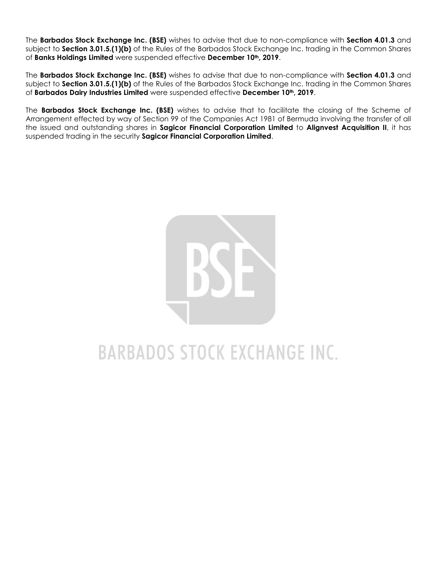The **Barbados Stock Exchange Inc. (BSE)** wishes to advise that due to non-compliance with **Section 4.01.3** and subject to **Section 3.01.5.(1)(b)** of the Rules of the Barbados Stock Exchange Inc. trading in the Common Shares of **Banks Holdings Limited** were suspended effective **December 10th, 2019**.

The **Barbados Stock Exchange Inc. (BSE)** wishes to advise that due to non-compliance with **Section 4.01.3** and subject to **Section 3.01.5.(1)(b)** of the Rules of the Barbados Stock Exchange Inc. trading in the Common Shares of **Barbados Dairy Industries Limited** were suspended effective **December 10th, 2019**.

The **Barbados Stock Exchange Inc. (BSE)** wishes to advise that to facilitate the closing of the Scheme of Arrangement effected by way of Section 99 of the Companies Act 1981 of Bermuda involving the transfer of all the issued and outstanding shares in **Sagicor Financial Corporation Limited** to **Alignvest Acquisition II**, it has suspended trading in the security **Sagicor Financial Corporation Limited**.



# **BARBADOS STOCK EXCHANGE INC.**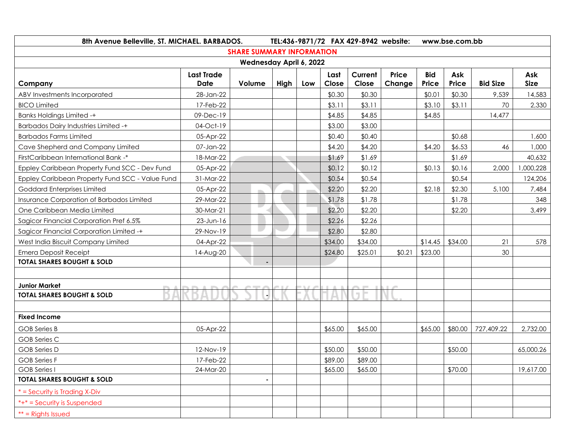| 8th Avenue Belleville, ST. MICHAEL. BARBADOS.   |                           | TEL:436-9871/72 FAX 429-8942 website: |      |     |               |                  | www.bse.com.bb         |                     |              |                 |                    |
|-------------------------------------------------|---------------------------|---------------------------------------|------|-----|---------------|------------------|------------------------|---------------------|--------------|-----------------|--------------------|
| <b>SHARE SUMMARY INFORMATION</b>                |                           |                                       |      |     |               |                  |                        |                     |              |                 |                    |
| Wednesday April 6, 2022                         |                           |                                       |      |     |               |                  |                        |                     |              |                 |                    |
| Company                                         | <b>Last Trade</b><br>Date | Volume                                | High | Low | Last<br>Close | Current<br>Close | <b>Price</b><br>Change | <b>Bid</b><br>Price | Ask<br>Price | <b>Bid Size</b> | Ask<br><b>Size</b> |
| ABV Investments Incorporated                    | 28-Jan-22                 |                                       |      |     | \$0.30        | \$0.30           |                        | \$0.01              | \$0.30       | 9,539           | 14,583             |
| <b>BICO Limited</b>                             | 17-Feb-22                 |                                       |      |     | \$3.11        | \$3.11           |                        | \$3.10              | \$3.11       | 70              | 2,330              |
| <b>Banks Holdings Limited -+</b>                | 09-Dec-19                 |                                       |      |     | \$4.85        | \$4.85           |                        | \$4.85              |              | 14,477          |                    |
| <b>Barbados Dairy Industries Limited -+</b>     | 04-Oct-19                 |                                       |      |     | \$3.00        | \$3.00           |                        |                     |              |                 |                    |
| <b>Barbados Farms Limited</b>                   | 05-Apr-22                 |                                       |      |     | \$0.40        | \$0.40           |                        |                     | \$0.68       |                 | 1,600              |
| Cave Shepherd and Company Limited               | 07-Jan-22                 |                                       |      |     | \$4.20        | \$4.20           |                        | \$4.20              | \$6.53       | 46              | 1,000              |
| FirstCaribbean International Bank -*            | 18-Mar-22                 |                                       |      |     | \$1.69        | \$1.69           |                        |                     | \$1.69       |                 | 40,632             |
| Eppley Caribbean Property Fund SCC - Dev Fund   | 05-Apr-22                 |                                       |      |     | \$0.12        | \$0.12           |                        | \$0.13              | \$0.16       | 2,000           | ,000,228           |
| Eppley Caribbean Property Fund SCC - Value Fund | 31-Mar-22                 |                                       |      |     | \$0.54        | \$0.54           |                        |                     | \$0.54       |                 | 124,206            |
| Goddard Enterprises Limited                     | 05-Apr-22                 | m                                     |      |     | \$2.20        | \$2.20           |                        | \$2.18              | \$2.30       | 5,100           | 7,484              |
| Insurance Corporation of Barbados Limited       | 29-Mar-22                 |                                       |      |     | \$1.78        | \$1.78           |                        |                     | \$1.78       |                 | 348                |
| One Caribbean Media Limited                     | 30-Mar-21                 | ╾                                     |      |     | \$2.20        | \$2.20           |                        |                     | \$2.20       |                 | 3,499              |
| Sagicor Financial Corporation Pref 6.5%         | $23$ -Jun-16              |                                       |      |     | \$2.26        | \$2.26           |                        |                     |              |                 |                    |
| Sagicor Financial Corporation Limited -+        | 29-Nov-19                 | u                                     |      |     | \$2.80        | \$2.80           |                        |                     |              |                 |                    |
| West India Biscuit Company Limited              | 04-Apr-22                 |                                       |      |     | \$34.00       | \$34.00          |                        | \$14.45             | \$34.00      | 21              | 578                |
| <b>Emera Deposit Receipt</b>                    | 14-Aug-20                 |                                       |      |     | \$24.80       | \$25.01          | \$0.21                 | \$23.00             |              | 30              |                    |
| <b>TOTAL SHARES BOUGHT &amp; SOLD</b>           |                           |                                       |      |     |               |                  |                        |                     |              |                 |                    |
|                                                 |                           |                                       |      |     |               |                  |                        |                     |              |                 |                    |
| <b>Junior Market</b>                            |                           |                                       |      |     |               |                  |                        |                     |              |                 |                    |
| <b>TOTAL SHARES BOUGHT &amp; SOLD</b>           |                           |                                       |      |     |               |                  |                        |                     |              |                 |                    |
|                                                 |                           |                                       |      |     |               |                  |                        |                     |              |                 |                    |
| <b>Fixed Income</b>                             |                           |                                       |      |     |               |                  |                        |                     |              |                 |                    |
| <b>GOB</b> Series B                             | 05-Apr-22                 |                                       |      |     | \$65.00       | \$65.00          |                        | \$65.00             | \$80.00      | 727,409.22      | 2,732.00           |
| <b>GOB Series C</b>                             |                           |                                       |      |     |               |                  |                        |                     |              |                 |                    |
| <b>GOB</b> Series D                             | 12-Nov-19                 |                                       |      |     | \$50.00       | \$50.00          |                        |                     | \$50.00      |                 | 65,000.26          |
| <b>GOB Series F</b>                             | 17-Feb-22                 |                                       |      |     | \$89.00       | \$89.00          |                        |                     |              |                 |                    |
| <b>GOB Series I</b>                             | 24-Mar-20                 |                                       |      |     | \$65.00       | \$65.00          |                        |                     | \$70.00      |                 | 19,617.00          |
| <b>TOTAL SHARES BOUGHT &amp; SOLD</b>           |                           |                                       |      |     |               |                  |                        |                     |              |                 |                    |
| * = Security is Trading X-Div                   |                           |                                       |      |     |               |                  |                        |                     |              |                 |                    |
| *+* = Security is Suspended                     |                           |                                       |      |     |               |                  |                        |                     |              |                 |                    |
| $**$ = Rights Issued                            |                           |                                       |      |     |               |                  |                        |                     |              |                 |                    |